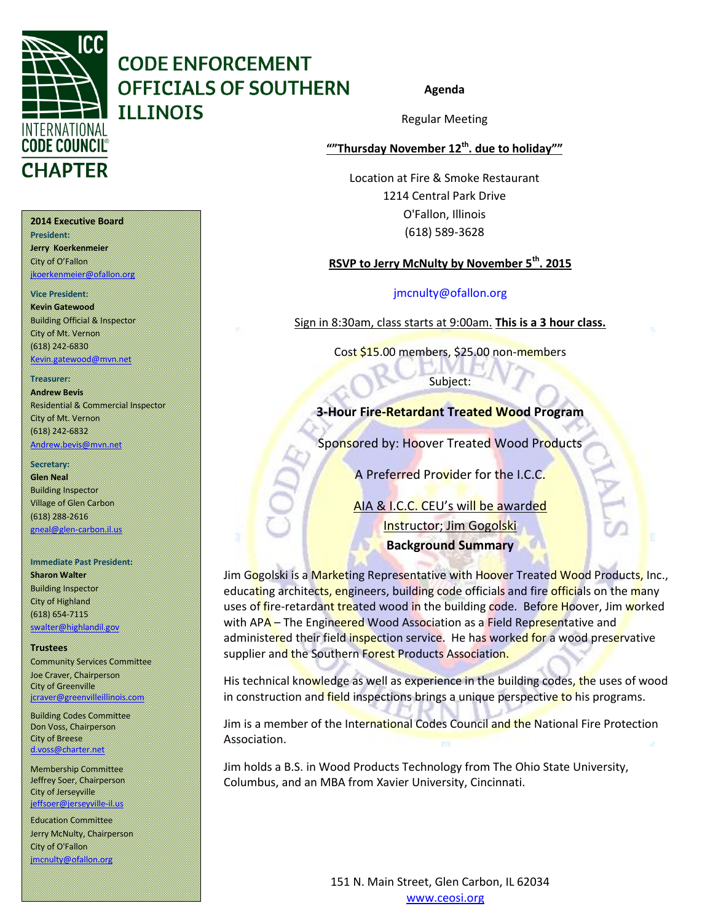

# **CODE ENFORCEMENT OFFICIALS OF SOUTHERN ILLINOIS**

## Regular Meeting

**Agenda**

## **""Thursday November 12th. due to holiday""**

Location at Fire & Smoke Restaurant 1214 Central Park Drive O'Fallon, Illinois (618) 589-3628

## **RSVP to Jerry McNulty by November 5th. 2015**

## [jmcnulty@ofallon.org](mailto:jmcnulty@ofallon.org)

Sign in 8:30am, class starts at 9:00am. **This is a 3 hour class.**

Cost \$15.00 members, \$25.00 non-members

Subject:

## **3-Hour Fire-Retardant Treated Wood Program**

Sponsored by: Hoover Treated Wood Products

A Preferred Provider for the I.C.C.

AIA & I.C.C. CEU's will be awarded Instructor; Jim Gogolski **Background Summary**

Jim Gogolski is a Marketing Representative with Hoover Treated Wood Products, Inc., educating architects, engineers, building code officials and fire officials on the many uses of fire-retardant treated wood in the building code. Before Hoover, Jim worked with APA – The Engineered Wood Association as a Field Representative and administered their field inspection service. He has worked for a wood preservative supplier and the Southern Forest Products Association.

His technical knowledge as well as experience in the building codes, the uses of wood in construction and field inspections brings a unique perspective to his programs.

Jim is a member of the International Codes Council and the National Fire Protection Association.

Jim holds a B.S. in Wood Products Technology from The Ohio State University, Columbus, and an MBA from Xavier University, Cincinnati.

151 N. Main Street, Glen Carbon, IL 62034

www.ceosi.org

#### **2014 Executive Board**

**President: Jerry Koerkenmeier** City of O'Fallon [jkoerkenmeier@ofallon.org](mailto:jkoerkenmeier@ofallon.org)

#### **Vice President:**

**Kevin Gatewood** Building Official & Inspector City of Mt. Vernon (618) 242-6830 [Kevin.gatewood@mvn.net](mailto:Kevin.gatewood@mvn.net)

#### **Treasurer:**

**Andrew Bevis** Residential & Commercial Inspector City of Mt. Vernon (618) 242-6832

[Andrew.bevis@mvn.net](mailto:Andrew.bevis@mvn.net)

#### **Secretary:**

**Glen Neal** Building Inspector Village of Glen Carbon (618) 288-2616 gneal@glen-carbon.il.us

#### **Immediate Past President:**

**Sharon Walter** Building Inspector City of Highland (618) 654-7115 [swalter@highlandil.gov](mailto:swalter@highlandil.gov) 

#### **Trustees**

Community Services Committee Joe Craver, Chairperson City of Greenville [jcraver@greenvilleillinois.com](mailto:jcraver@greenvilleillinois.com)

Building Codes Committee Don Voss, Chairperson City of Breese [d.voss@charter.net](mailto:d.voss@charter.net)

Membership Committee Jeffrey Soer, Chairperson City of Jerseyville [jeffsoer@jerseyville-il.us](mailto:jeffsoer@jerseyville-il.us)

Education Committee Jerry McNulty, Chairperson City of O'Fallon [jmcnulty@ofallon.org](mailto:jmcnulty@ofallon.org)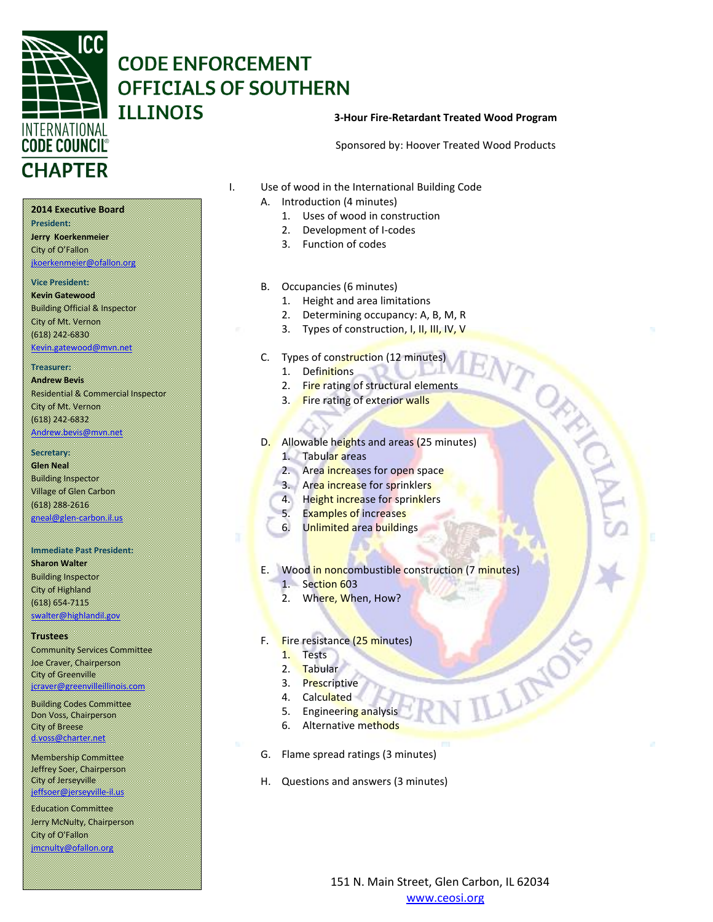

## **CODE ENFORCEMENT OFFICIALS OF SOUTHERN ILLINOIS**

#### **3-Hour Fire-Retardant Treated Wood Program**

Sponsored by: Hoover Treated Wood Products

**2014 Executive Board**

**President: Jerry Koerkenmeier** City of O'Fallon [jkoerkenmeier@ofallon.org](mailto:jkoerkenmeier@ofallon.org)

#### **Vice President:**

**Kevin Gatewood** Building Official & Inspector City of Mt. Vernon (618) 242-6830 [Kevin.gatewood@mvn.net](mailto:Kevin.gatewood@mvn.net)

## **Treasurer:**

**Andrew Bevis** Residential & Commercial Inspector City of Mt. Vernon (618) 242-6832 [Andrew.bevis@mvn.net](mailto:Andrew.bevis@mvn.net)

#### **Secretary:**

**Glen Neal** Building Inspector Village of Glen Carbon (618) 288-2616 [gneal@glen-carbon.il.us](mailto:gneal@glen-carbon.il.us) 

#### **Immediate Past President:**

**Sharon Walter** Building Inspector City of Highland (618) 654-7115 [swalter@highlandil.gov](mailto:swalter@highlandil.gov) 

#### **Trustees**

Community Services Committee Joe Craver, Chairperson City of Greenville [jcraver@greenvilleillinois.com](mailto:jcraver@greenvilleillinois.com)

Building Codes Committee Don Voss, Chairperson City of Breese [d.voss@charter.net](mailto:d.voss@charter.net)

Membership Committee Jeffrey Soer, Chairperson City of Jerseyville [jeffsoer@jerseyville-il.us](mailto:jeffsoer@jerseyville-il.us)

Education Committee Jerry McNulty, Chairperson City of O'Fallon [jmcnulty@ofallon.org](mailto:jmcnulty@ofallon.org)

- I. Use of wood in the International Building Code
	- A. Introduction (4 minutes)
		- 1. Uses of wood in construction
		- 2. Development of I-codes
		- 3. Function of codes
	- B. Occupancies (6 minutes)
		- 1. Height and area limitations
		- 2. Determining occupancy: A, B, M, R
		- 3. Types of construction, I, II, III, IV, V
	- C. Types of construction (12 minutes)
		- 1. Definitions
		- 2. Fire rating of structural elements
		- 3. Fire rating of exterior walls
	- D. Allowable heights and areas (25 minutes)
		- 1. Tabular areas
		- 2. Area increases for open space
		- 3. Area increase for sprinklers
		- 4. Height increase for sprinklers
			- 5. Examples of increases
			- 6. Unlimited area buildings

## E. Wood in noncombustible construction (7 minutes)

- 1. Section 603
- 2. Where, When, How?
- F. Fire resistance (25 minutes)
	- 1. Tests
	- 2. Tabular
	- 3. Prescriptive
	- 4. Calculated
	- 5. Engineering analysis
	- 6. Alternative methods
- G. Flame spread ratings (3 minutes)
- H. Questions and answers (3 minutes)